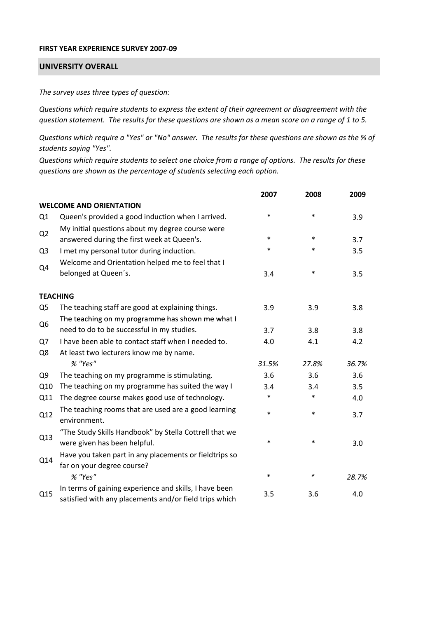## **FIRST YEAR EXPERIENCE SURVEY 2007‐09**

## **UNIVERSITY OVERALL**

*The survey uses three types of question:*

*Questions which require students to express the extent of their agreement or disagreement with the* question statement. The results for these questions are shown as a mean score on a range of 1 to 5.

Questions which require a "Yes" or "No" answer. The results for these questions are shown as the % of *students saying "Yes".*

Questions which require students to select one choice from a range of options. The results for these *questions are shown as the percentage of students selecting each option.*

|                |                                                                                                                  | 2007   | 2008   | 2009  |
|----------------|------------------------------------------------------------------------------------------------------------------|--------|--------|-------|
|                | <b>WELCOME AND ORIENTATION</b>                                                                                   |        |        |       |
| Q1             | Queen's provided a good induction when I arrived.                                                                | $\ast$ | $\ast$ | 3.9   |
| Q <sub>2</sub> | My initial questions about my degree course were<br>answered during the first week at Queen's.                   | $\ast$ | $\ast$ | 3.7   |
| Q <sub>3</sub> | I met my personal tutor during induction.                                                                        | $\ast$ | $\ast$ | 3.5   |
| Q4             | Welcome and Orientation helped me to feel that I<br>belonged at Queen's.                                         | 3.4    | $\ast$ | 3.5   |
|                | <b>TEACHING</b>                                                                                                  |        |        |       |
| Q <sub>5</sub> | The teaching staff are good at explaining things.                                                                | 3.9    | 3.9    | 3.8   |
| Q <sub>6</sub> | The teaching on my programme has shown me what I                                                                 |        |        |       |
|                | need to do to be successful in my studies.                                                                       | 3.7    | 3.8    | 3.8   |
| Q7             | I have been able to contact staff when I needed to.                                                              | 4.0    | 4.1    | 4.2   |
| Q8             | At least two lecturers know me by name.                                                                          |        |        |       |
|                | % "Yes"                                                                                                          | 31.5%  | 27.8%  | 36.7% |
| Q <sub>9</sub> | The teaching on my programme is stimulating.                                                                     | 3.6    | 3.6    | 3.6   |
| Q10            | The teaching on my programme has suited the way I                                                                | 3.4    | 3.4    | 3.5   |
| Q11            | The degree course makes good use of technology.                                                                  | *      | $\ast$ | 4.0   |
| Q12            | The teaching rooms that are used are a good learning<br>environment.                                             | $\ast$ | $\ast$ | 3.7   |
| Q13            | "The Study Skills Handbook" by Stella Cottrell that we<br>were given has been helpful.                           | $\ast$ | $\ast$ | 3.0   |
| Q14            | Have you taken part in any placements or fieldtrips so<br>far on your degree course?                             |        |        |       |
|                | % "Yes"                                                                                                          | $\ast$ | ∗      | 28.7% |
| Q15            | In terms of gaining experience and skills, I have been<br>satisfied with any placements and/or field trips which | 3.5    | 3.6    | 4.0   |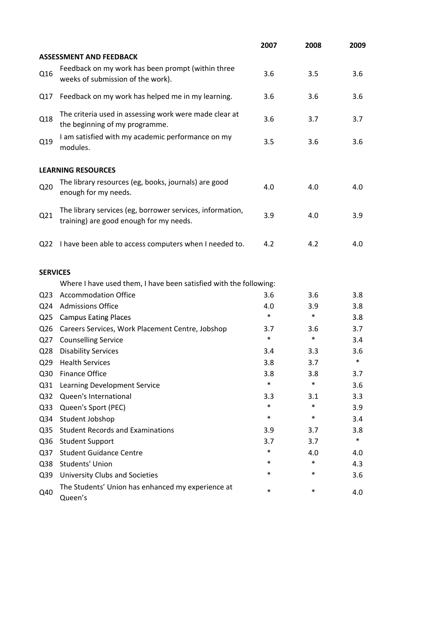|                 |                                                                                                      | 2007   | 2008   | 2009   |
|-----------------|------------------------------------------------------------------------------------------------------|--------|--------|--------|
|                 | <b>ASSESSMENT AND FEEDBACK</b>                                                                       |        |        |        |
| Q16             | Feedback on my work has been prompt (within three<br>weeks of submission of the work).               | 3.6    | 3.5    | 3.6    |
| Q17             | Feedback on my work has helped me in my learning.                                                    | 3.6    | 3.6    | 3.6    |
| Q18             | The criteria used in assessing work were made clear at<br>the beginning of my programme.             | 3.6    | 3.7    | 3.7    |
| Q19             | I am satisfied with my academic performance on my<br>modules.                                        | 3.5    | 3.6    | 3.6    |
|                 | <b>LEARNING RESOURCES</b>                                                                            |        |        |        |
| Q <sub>20</sub> | The library resources (eg, books, journals) are good<br>enough for my needs.                         | 4.0    | 4.0    | 4.0    |
| Q21             | The library services (eg, borrower services, information,<br>training) are good enough for my needs. | 3.9    | 4.0    | 3.9    |
| Q <sub>22</sub> | I have been able to access computers when I needed to.                                               | 4.2    | 4.2    | 4.0    |
| <b>SERVICES</b> |                                                                                                      |        |        |        |
|                 | Where I have used them, I have been satisfied with the following:                                    |        |        |        |
| Q <sub>23</sub> | <b>Accommodation Office</b>                                                                          | 3.6    | 3.6    | 3.8    |
| Q24             | <b>Admissions Office</b>                                                                             | 4.0    | 3.9    | 3.8    |
| Q <sub>25</sub> | <b>Campus Eating Places</b>                                                                          | $\ast$ | $\ast$ | 3.8    |
| Q <sub>26</sub> | Careers Services, Work Placement Centre, Jobshop                                                     | 3.7    | 3.6    | 3.7    |
| Q27             | <b>Counselling Service</b>                                                                           | $\ast$ | $\ast$ | 3.4    |
| Q <sub>28</sub> | <b>Disability Services</b>                                                                           | 3.4    | 3.3    | 3.6    |
| Q <sub>29</sub> | <b>Health Services</b>                                                                               | 3.8    | 3.7    | $\ast$ |
| Q30             | <b>Finance Office</b>                                                                                | 3.8    | 3.8    | 3.7    |
| Q31             | Learning Development Service                                                                         | $\ast$ | $\ast$ | 3.6    |
| Q <sub>32</sub> | Queen's International                                                                                | 3.3    | 3.1    | 3.3    |
| Q <sub>33</sub> | Queen's Sport (PEC)                                                                                  | $\ast$ | $\ast$ | 3.9    |
| Q34             | Student Jobshop                                                                                      | $\ast$ | $\ast$ | 3.4    |
| Q <sub>35</sub> | <b>Student Records and Examinations</b>                                                              | 3.9    | 3.7    | 3.8    |
| Q36             | <b>Student Support</b>                                                                               | 3.7    | 3.7    | $\ast$ |
| Q <sub>37</sub> | <b>Student Guidance Centre</b>                                                                       | $\ast$ | 4.0    | 4.0    |
| Q38             | <b>Students' Union</b>                                                                               | *      | $\ast$ | 4.3    |
| Q39             | University Clubs and Societies                                                                       | *      | $\ast$ | 3.6    |
| Q40             | The Students' Union has enhanced my experience at<br>Queen's                                         | $\ast$ | $\ast$ | 4.0    |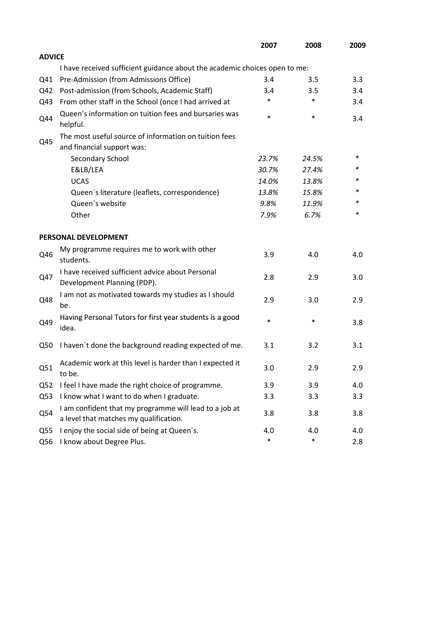|                 |                                                                                                  | 2007   | 2008   | 2009 |
|-----------------|--------------------------------------------------------------------------------------------------|--------|--------|------|
| <b>ADVICE</b>   |                                                                                                  |        |        |      |
|                 | I have received sufficient guidance about the academic choices open to me:                       |        |        |      |
| Q41             | Pre-Admission (from Admissions Office)                                                           | 3.4    | 3.5    | 3.3  |
| Q42             | Post-admission (from Schools, Academic Staff)                                                    | 3.4    | 3.5    | 3.4  |
| Q43             | From other staff in the School (once I had arrived at                                            | *      | $\ast$ | 3.4  |
| Q44             | Queen's information on tuition fees and bursaries was<br>helpful.                                | $\ast$ | $\ast$ | 3.4  |
|                 | The most useful source of information on tuition fees                                            |        |        |      |
| Q45             | and financial support was:                                                                       |        |        |      |
|                 | Secondary School                                                                                 | 23.7%  | 24.5%  | ∗    |
|                 | E&LB/LEA                                                                                         | 30.7%  | 27.4%  | *    |
|                 | <b>UCAS</b>                                                                                      | 14.0%  | 13.8%  |      |
|                 | Queen's literature (leaflets, correspondence)                                                    | 13.8%  | 15.8%  | *    |
|                 | Queen's website                                                                                  | 9.8%   | 11.9%  | *    |
|                 | Other                                                                                            | 7.9%   | 6.7%   | *    |
|                 | PERSONAL DEVELOPMENT                                                                             |        |        |      |
| Q46             | My programme requires me to work with other<br>students.                                         | 3.9    | 4.0    | 4.0  |
| Q47             | I have received sufficient advice about Personal<br>Development Planning (PDP).                  | 2.8    | 2.9    | 3.0  |
| Q48             | I am not as motivated towards my studies as I should<br>be.                                      | 2.9    | 3.0    | 2.9  |
| Q49             | Having Personal Tutors for first year students is a good<br>idea.                                | $\ast$ | $\ast$ | 3.8  |
| Q50             | I haven't done the background reading expected of me.                                            | 3.1    | 3.2    | 3.1  |
| Q51             | Academic work at this level is harder than I expected it<br>to be.                               | 3.0    | 2.9    | 2.9  |
| Q <sub>52</sub> | I feel I have made the right choice of programme.                                                | 3.9    | 3.9    | 4.0  |
| Q53             | I know what I want to do when I graduate.                                                        | 3.3    | 3.3    | 3.3  |
| Q54             | I am confident that my programme will lead to a job at<br>a level that matches my qualification. | 3.8    | 3.8    | 3.8  |
| Q <sub>55</sub> | I enjoy the social side of being at Queen's.                                                     | 4.0    | 4.0    | 4.0  |
| Q56             | I know about Degree Plus.                                                                        | $\ast$ | $\ast$ | 2.8  |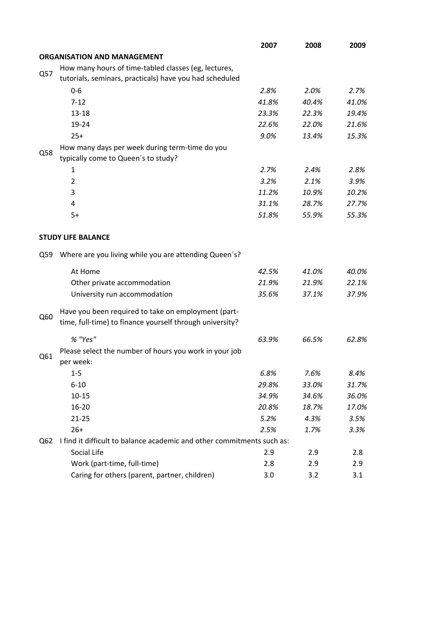|     |                                                                        | 2007  | 2008  | 2009  |
|-----|------------------------------------------------------------------------|-------|-------|-------|
|     | <b>ORGANISATION AND MANAGEMENT</b>                                     |       |       |       |
|     | How many hours of time-tabled classes (eg, lectures,                   |       |       |       |
| Q57 | tutorials, seminars, practicals) have you had scheduled                |       |       |       |
|     | $0 - 6$                                                                | 2.8%  | 2.0%  | 2.7%  |
|     | $7 - 12$                                                               | 41.8% | 40.4% | 41.0% |
|     | $13 - 18$                                                              | 23.3% | 22.3% | 19.4% |
|     | 19-24                                                                  | 22.6% | 22.0% | 21.6% |
|     | $25+$                                                                  | 9.0%  | 13.4% | 15.3% |
|     | How many days per week during term-time do you                         |       |       |       |
| Q58 | typically come to Queen's to study?                                    |       |       |       |
|     | 1                                                                      | 2.7%  | 2.4%  | 2.8%  |
|     | $\overline{2}$                                                         | 3.2%  | 2.1%  | 3.9%  |
|     | 3                                                                      | 11.2% | 10.9% | 10.2% |
|     | 4                                                                      | 31.1% | 28.7% | 27.7% |
|     | $5+$                                                                   | 51.8% | 55.9% | 55.3% |
|     |                                                                        |       |       |       |
|     | <b>STUDY LIFE BALANCE</b>                                              |       |       |       |
| Q59 | Where are you living while you are attending Queen's?                  |       |       |       |
|     | At Home                                                                | 42.5% | 41.0% | 40.0% |
|     | Other private accommodation                                            | 21.9% | 21.9% | 22.1% |
|     | University run accommodation                                           | 35.6% | 37.1% | 37.9% |
| Q60 | Have you been required to take on employment (part-                    |       |       |       |
|     | time, full-time) to finance yourself through university?               |       |       |       |
|     | % "Yes"                                                                | 63.9% | 66.5% | 62.8% |
| Q61 | Please select the number of hours you work in your job<br>per week:    |       |       |       |
|     | $1-5$                                                                  | 6.8%  | 7.6%  | 8.4%  |
|     | $6 - 10$                                                               | 29.8% | 33.0% | 31.7% |
|     | $10 - 15$                                                              | 34.9% | 34.6% | 36.0% |
|     | 16-20                                                                  | 20.8% | 18.7% | 17.0% |
|     | $21 - 25$                                                              | 5.2%  | 4.3%  | 3.5%  |
|     | $26+$                                                                  | 2.5%  | 1.7%  | 3.3%  |
| Q62 | I find it difficult to balance academic and other commitments such as: |       |       |       |
|     | Social Life                                                            | 2.9   | 2.9   | 2.8   |
|     | Work (part-time, full-time)                                            | 2.8   | 2.9   | 2.9   |
|     | Caring for others (parent, partner, children)                          | 3.0   | 3.2   | 3.1   |